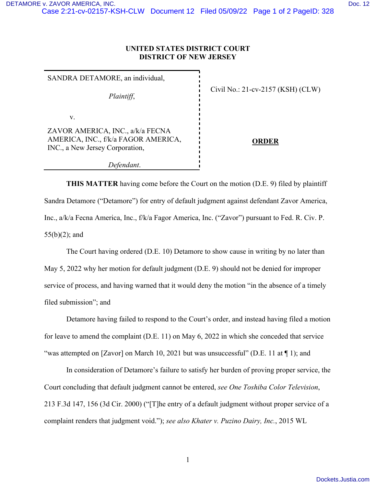## **UNITED STATES DISTRICT COURT DISTRICT OF NEW JERSEY**

SANDRA DETAMORE, an individual, *Plaintiff*, v. ZAVOR AMERICA, INC., a/k/a FECNA AMERICA, INC., f/k/a FAGOR AMERICA, INC., a New Jersey Corporation, *Defendant*.

Civil No.: 21-cv-2157 (KSH) (CLW)

**ORDER** 

**THIS MATTER** having come before the Court on the motion (D.E. 9) filed by plaintiff Sandra Detamore ("Detamore") for entry of default judgment against defendant Zavor America, Inc., a/k/a Fecna America, Inc., f/k/a Fagor America, Inc. ("Zavor") pursuant to Fed. R. Civ. P. 55(b)(2); and

The Court having ordered (D.E. 10) Detamore to show cause in writing by no later than May 5, 2022 why her motion for default judgment (D.E. 9) should not be denied for improper service of process, and having warned that it would deny the motion "in the absence of a timely filed submission"; and

Detamore having failed to respond to the Court's order, and instead having filed a motion for leave to amend the complaint (D.E. 11) on May 6, 2022 in which she conceded that service "was attempted on [Zavor] on March 10, 2021 but was unsuccessful" (D.E. 11 at  $\P$  1); and

In consideration of Detamore's failure to satisfy her burden of proving proper service, the Court concluding that default judgment cannot be entered, *see One Toshiba Color Television*, 213 F.3d 147, 156 (3d Cir. 2000) ("[T]he entry of a default judgment without proper service of a complaint renders that judgment void."); *see also Khater v. Puzino Dairy, Inc.*, 2015 WL

1